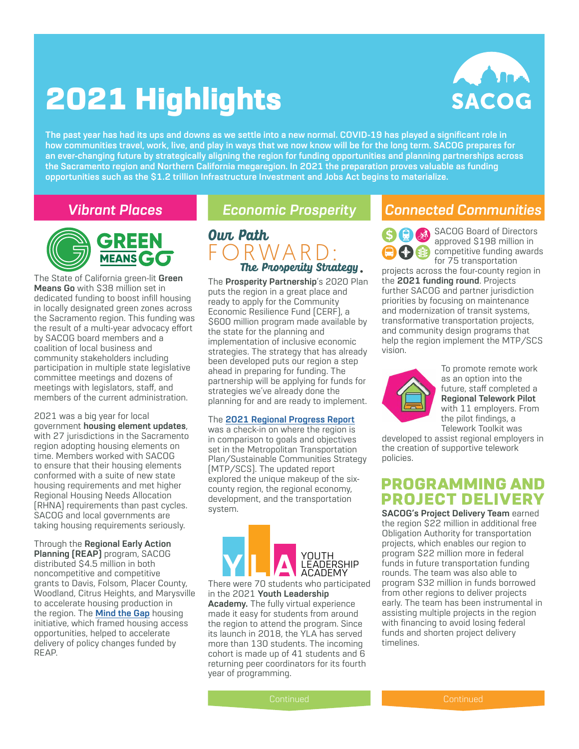# 2021 Highlights



**The past year has had its ups and downs as we settle into a new normal. COVID-19 has played a significant role in how communities travel, work, live, and play in ways that we now know will be for the long term. SACOG prepares for an ever-changing future by strategically aligning the region for funding opportunities and planning partnerships across the Sacramento region and Northern California megaregion. In 2021 the preparation proves valuable as funding opportunities such as the \$1.2 trillion Infrastructure Investment and Jobs Act begins to materialize.** 



The State of California green-lit **Green Means Go** with \$38 million set in dedicated funding to boost infill housing in locally designated green zones across the Sacramento region. This funding was the result of a multi-year advocacy effort by SACOG board members and a coalition of local business and community stakeholders including participation in multiple state legislative committee meetings and dozens of meetings with legislators, staff, and members of the current administration.

2021 was a big year for local government **housing element updates**, with 27 jurisdictions in the Sacramento region adopting housing elements on time. Members worked with SACOG to ensure that their housing elements conformed with a suite of new state housing requirements and met higher Regional Housing Needs Allocation (RHNA) requirements than past cycles. SACOG and local governments are taking housing requirements seriously.

Through the **Regional Early Action Planning (REAP)** program, SACOG distributed \$4.5 million in both noncompetitive and competitive grants to Davis, Folsom, Placer County, Woodland, Citrus Heights, and Marysville to accelerate housing production in the region. The **[Mind the Gap](https://www.sacog.org/housing)** housing initiative, which framed housing access opportunities, helped to accelerate delivery of policy changes funded by REAP.



The **Prosperity Partnership**'s 2020 Plan puts the region in a great place and ready to apply for the Community Economic Resilience Fund (CERF), a \$600 million program made available by the state for the planning and implementation of inclusive economic strategies. The strategy that has already been developed puts our region a step ahead in preparing for funding. The partnership will be applying for funds for strategies we've already done the planning for and are ready to implement.

### The **[2021 Regional Progress Report](https://www.sacog.org/post/2021-regional-progress-report)**

was a check-in on where the region is in comparison to goals and objectives set in the Metropolitan Transportation Plan/Sustainable Communities Strategy (MTP/SCS). The updated report explored the unique makeup of the sixcounty region, the regional economy, development, and the transportation system.



There were 70 students who participated in the 2021 **Youth Leadership Academy.** The fully virtual experience made it easy for students from around the region to attend the program. Since its launch in 2018, the YLA has served more than 130 students. The incoming cohort is made up of 41 students and 6 returning peer coordinators for its fourth year of programming.

# *Vibrant Places Economic Prosperity Connected Communities*

SACOG Board of Directors approved \$198 million in competitive funding awards for 75 transportation

projects across the four-county region in the **2021 funding round**. Projects further SACOG and partner jurisdiction priorities by focusing on maintenance and modernization of transit systems, transformative transportation projects, and community design programs that help the region implement the MTP/SCS vision.



To promote remote work as an option into the future, staff completed a **Regional Telework Pilot** with 11 employers. From the pilot findings, a Telework Toolkit was

developed to assist regional employers in the creation of supportive telework policies.

# **PROGRAMMING AND PROJECT DELIVERY**

**SACOG's Project Delivery Team** earned the region \$22 million in additional free Obligation Authority for transportation projects, which enables our region to program \$22 million more in federal funds in future transportation funding rounds. The team was also able to program \$32 million in funds borrowed from other regions to deliver projects early. The team has been instrumental in assisting multiple projects in the region with financing to avoid losing federal funds and shorten project delivery timelines.